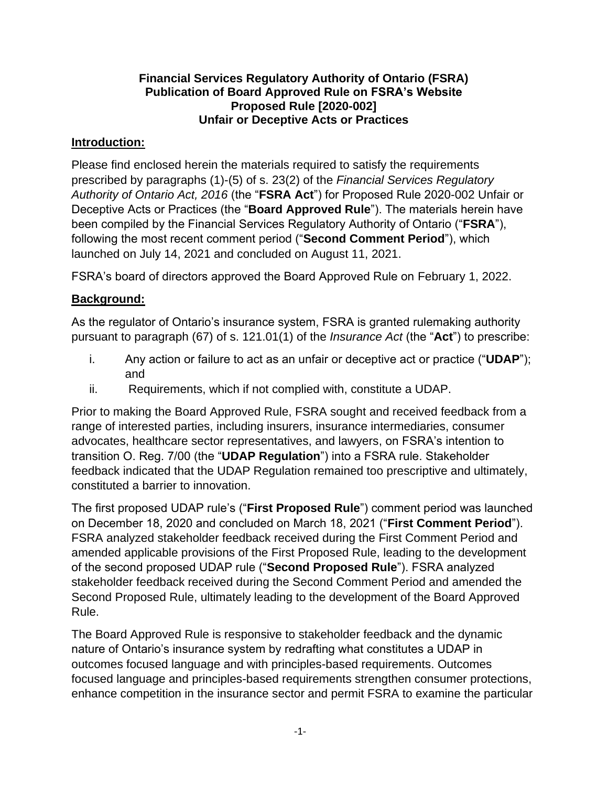#### **Financial Services Regulatory Authority of Ontario (FSRA) Publication of Board Approved Rule on FSRA's Website Proposed Rule [2020-002] Unfair or Deceptive Acts or Practices**

#### **Introduction:**

Please find enclosed herein the materials required to satisfy the requirements prescribed by paragraphs (1)-(5) of s. 23(2) of the *Financial Services Regulatory Authority of Ontario Act, 2016* (the "**FSRA Act**") for Proposed Rule 2020-002 Unfair or Deceptive Acts or Practices (the "**Board Approved Rule**"). The materials herein have been compiled by the Financial Services Regulatory Authority of Ontario ("**FSRA**"), following the most recent comment period ("**Second Comment Period**"), which launched on July 14, 2021 and concluded on August 11, 2021.

FSRA's board of directors approved the Board Approved Rule on February 1, 2022.

### **Background:**

As the regulator of Ontario's insurance system, FSRA is granted rulemaking authority pursuant to paragraph (67) of s. 121.01(1) of the *Insurance Act* (the "**Act**") to prescribe:

- i. Any action or failure to act as an unfair or deceptive act or practice ("**UDAP**"); and
- ii. Requirements, which if not complied with, constitute a UDAP.

Prior to making the Board Approved Rule, FSRA sought and received feedback from a range of interested parties, including insurers, insurance intermediaries, consumer advocates, healthcare sector representatives, and lawyers, on FSRA's intention to transition O. Reg. 7/00 (the "**UDAP Regulation**") into a FSRA rule. Stakeholder feedback indicated that the UDAP Regulation remained too prescriptive and ultimately, constituted a barrier to innovation.

The first proposed UDAP rule's ("**First Proposed Rule**") comment period was launched on December 18, 2020 and concluded on March 18, 2021 ("**First Comment Period**"). FSRA analyzed stakeholder feedback received during the First Comment Period and amended applicable provisions of the First Proposed Rule, leading to the development of the second proposed UDAP rule ("**Second Proposed Rule**"). FSRA analyzed stakeholder feedback received during the Second Comment Period and amended the Second Proposed Rule, ultimately leading to the development of the Board Approved Rule.

The Board Approved Rule is responsive to stakeholder feedback and the dynamic nature of Ontario's insurance system by redrafting what constitutes a UDAP in outcomes focused language and with principles-based requirements. Outcomes focused language and principles-based requirements strengthen consumer protections, enhance competition in the insurance sector and permit FSRA to examine the particular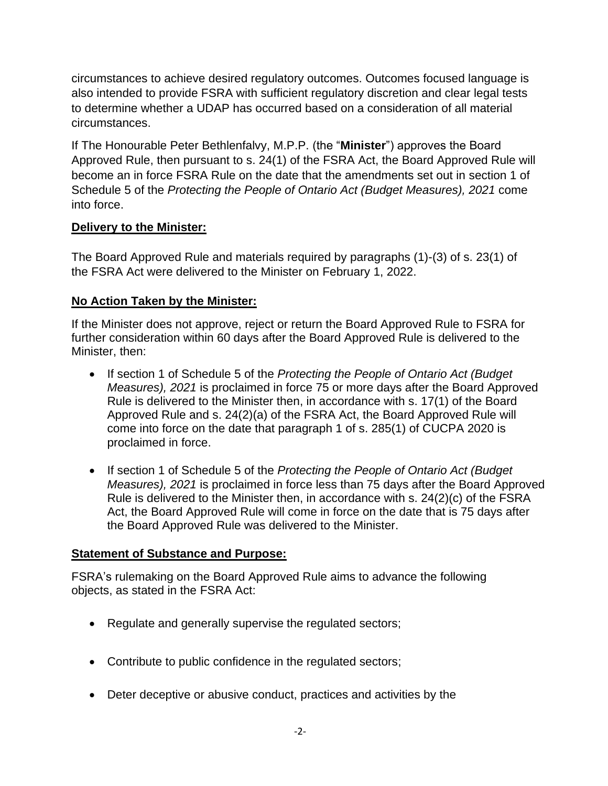circumstances to achieve desired regulatory outcomes. Outcomes focused language is also intended to provide FSRA with sufficient regulatory discretion and clear legal tests to determine whether a UDAP has occurred based on a consideration of all material circumstances.

If The Honourable Peter Bethlenfalvy, M.P.P. (the "**Minister**") approves the Board Approved Rule, then pursuant to s. 24(1) of the FSRA Act, the Board Approved Rule will become an in force FSRA Rule on the date that the amendments set out in section 1 of Schedule 5 of the *Protecting the People of Ontario Act (Budget Measures), 2021* come into force.

## **Delivery to the Minister:**

The Board Approved Rule and materials required by paragraphs (1)-(3) of s. 23(1) of the FSRA Act were delivered to the Minister on February 1, 2022.

## **No Action Taken by the Minister:**

If the Minister does not approve, reject or return the Board Approved Rule to FSRA for further consideration within 60 days after the Board Approved Rule is delivered to the Minister, then:

- If section 1 of Schedule 5 of the *Protecting the People of Ontario Act (Budget Measures), 2021* is proclaimed in force 75 or more days after the Board Approved Rule is delivered to the Minister then, in accordance with s. 17(1) of the Board Approved Rule and s. 24(2)(a) of the FSRA Act, the Board Approved Rule will come into force on the date that paragraph 1 of s. 285(1) of CUCPA 2020 is proclaimed in force.
- If section 1 of Schedule 5 of the *Protecting the People of Ontario Act (Budget Measures), 2021* is proclaimed in force less than 75 days after the Board Approved Rule is delivered to the Minister then, in accordance with s. 24(2)(c) of the FSRA Act, the Board Approved Rule will come in force on the date that is 75 days after the Board Approved Rule was delivered to the Minister.

## **Statement of Substance and Purpose:**

FSRA's rulemaking on the Board Approved Rule aims to advance the following objects, as stated in the FSRA Act:

- Regulate and generally supervise the regulated sectors;
- Contribute to public confidence in the regulated sectors;
- Deter deceptive or abusive conduct, practices and activities by the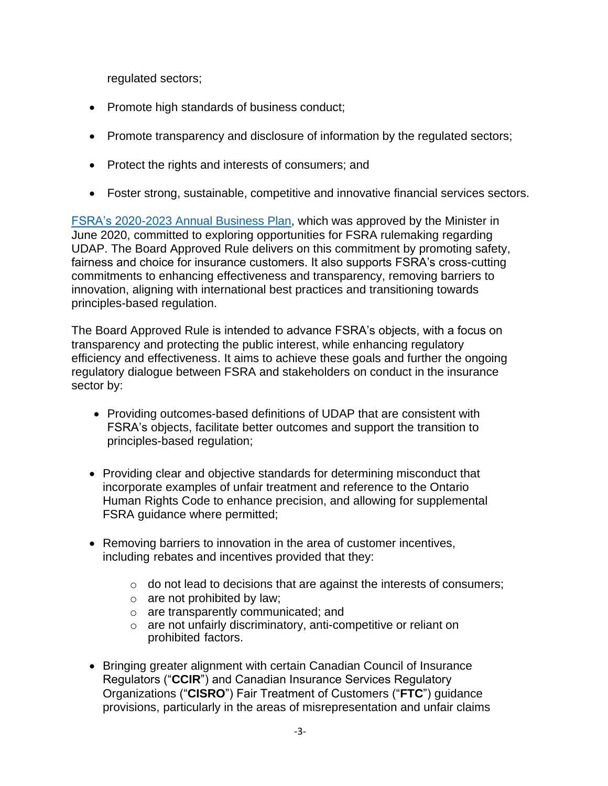regulated sectors;

- Promote high standards of business conduct;
- Promote transparency and disclosure of information by the regulated sectors;
- Protect the rights and interests of consumers; and
- Foster strong, sustainable, competitive and innovative financial services sectors.

[FSRA's 2020-2023 Annual Business Plan,](https://www.fsrao.ca/media/2006/download) which was approved by the Minister in June 2020, committed to exploring opportunities for FSRA rulemaking regarding UDAP. The Board Approved Rule delivers on this commitment by promoting safety, fairness and choice for insurance customers. It also supports FSRA's cross-cutting commitments to enhancing effectiveness and transparency, removing barriers to innovation, aligning with international best practices and transitioning towards principles-based regulation.

The Board Approved Rule is intended to advance FSRA's objects, with a focus on transparency and protecting the public interest, while enhancing regulatory efficiency and effectiveness. It aims to achieve these goals and further the ongoing regulatory dialogue between FSRA and stakeholders on conduct in the insurance sector by:

- Providing outcomes-based definitions of UDAP that are consistent with FSRA's objects, facilitate better outcomes and support the transition to principles-based regulation;
- Providing clear and objective standards for determining misconduct that incorporate examples of unfair treatment and reference to the Ontario Human Rights Code to enhance precision, and allowing for supplemental FSRA guidance where permitted;
- Removing barriers to innovation in the area of customer incentives, including rebates and incentives provided that they:
	- o do not lead to decisions that are against the interests of consumers;
	- $\circ$  are not prohibited by law;
	- o are transparently communicated; and
	- o are not unfairly discriminatory, anti-competitive or reliant on prohibited factors.
- Bringing greater alignment with certain Canadian Council of Insurance Regulators ("**CCIR**") and Canadian Insurance Services Regulatory Organizations ("**CISRO**") Fair Treatment of Customers ("**FTC**") guidance provisions, particularly in the areas of misrepresentation and unfair claims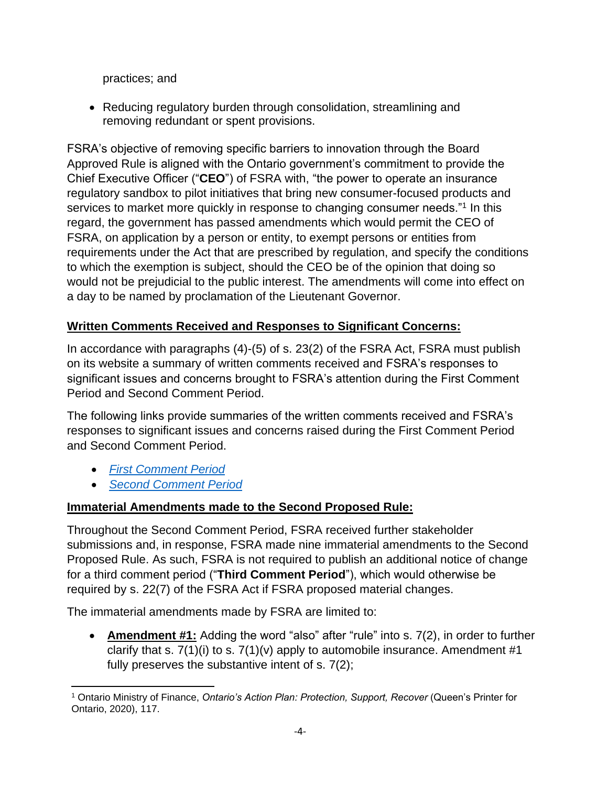practices; and

• Reducing regulatory burden through consolidation, streamlining and removing redundant or spent provisions.

FSRA's objective of removing specific barriers to innovation through the Board Approved Rule is aligned with the Ontario government's commitment to provide the Chief Executive Officer ("**CEO**") of FSRA with, "the power to operate an insurance regulatory sandbox to pilot initiatives that bring new consumer-focused products and services to market more quickly in response to changing consumer needs."<sup>1</sup> In this regard, the government has passed amendments which would permit the CEO of FSRA, on application by a person or entity, to exempt persons or entities from requirements under the Act that are prescribed by regulation, and specify the conditions to which the exemption is subject, should the CEO be of the opinion that doing so would not be prejudicial to the public interest. The amendments will come into effect on a day to be named by proclamation of the Lieutenant Governor.

# **Written Comments Received and Responses to Significant Concerns:**

In accordance with paragraphs (4)-(5) of s. 23(2) of the FSRA Act, FSRA must publish on its website a summary of written comments received and FSRA's responses to significant issues and concerns brought to FSRA's attention during the First Comment Period and Second Comment Period.

The following links provide summaries of the written comments received and FSRA's responses to significant issues and concerns raised during the First Comment Period and Second Comment Period.

- *[First Comment Period](https://www.fsrao.ca/engagement-and-consultations/fsras-first-proposed-insurance-rule-released-public-consultation-unfair-or-deceptive-acts-or-practices-udap-rule/summary-comments)*
- *[Second Comment Period](https://www.fsrao.ca/engagement-and-consultations/fsra-releases-its-revised-proposed-unfair-or-deceptive-acts-or-practices-udap-rule-public-consultation)*

## **Immaterial Amendments made to the Second Proposed Rule:**

Throughout the Second Comment Period, FSRA received further stakeholder submissions and, in response, FSRA made nine immaterial amendments to the Second Proposed Rule. As such, FSRA is not required to publish an additional notice of change for a third comment period ("**Third Comment Period**"), which would otherwise be required by s. 22(7) of the FSRA Act if FSRA proposed material changes.

The immaterial amendments made by FSRA are limited to:

• **Amendment #1:** Adding the word "also" after "rule" into s. 7(2), in order to further clarify that s.  $7(1)(i)$  to s.  $7(1)(v)$  apply to automobile insurance. Amendment #1 fully preserves the substantive intent of s. 7(2);

<sup>1</sup> Ontario Ministry of Finance, *Ontario's Action Plan: Protection, Support, Recover* (Queen's Printer for Ontario, 2020), 117.